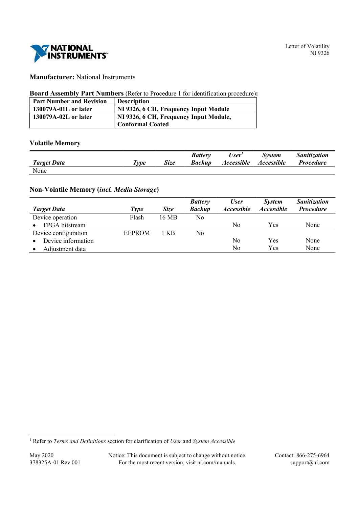

# Manufacturer: National Instruments

## Board Assembly Part Numbers (Refer to Procedure 1 for identification procedure):

| <b>Part Number and Revision</b> | <b>Description</b>                     |
|---------------------------------|----------------------------------------|
| 130079A-01L or later            | NI 9326, 6 CH, Frequency Input Module  |
| 130079A-02L or later            | NI 9326, 6 CH, Frequency Input Module, |
|                                 | <b>Conformal Coated</b>                |

## Volatile Memory

|                    |                        |      | <b>Battery</b> | User'             | <b>System</b>            | Sanitization     |
|--------------------|------------------------|------|----------------|-------------------|--------------------------|------------------|
| <b>Target Data</b> | $\tau_{\gamma \rho e}$ | Size | Backup         | <b>Accessible</b> | <i><b>Accessible</b></i> | <b>Procedure</b> |
| None               |                        |      |                |                   |                          |                  |

## Non-Volatile Memory (incl. Media Storage)

|                      |               |             | <b>Battery</b> | <b>User</b>       | <i>System</i>            | <b>Sanitization</b> |
|----------------------|---------------|-------------|----------------|-------------------|--------------------------|---------------------|
| <b>Target Data</b>   | Type          | <b>Size</b> | <b>Backup</b>  | <i>Accessible</i> | <i><b>Accessible</b></i> | <b>Procedure</b>    |
| Device operation     | Flash         | 16 MB       | No.            |                   |                          |                     |
| FPGA bitstream       |               |             |                | No                | Yes                      | None                |
| Device configuration | <b>EEPROM</b> | 1 KB        | No             |                   |                          |                     |
| Device information   |               |             |                | No                | Yes                      | None                |
| Adjustment data      |               |             |                | No                | Yes                      | None                |

May 2020 Notice: This document is subject to change without notice. Contact: 866-275-6964 378325A-01 Rev 001 For the most recent version, visit ni.com/manuals. support@ni.com

<sup>&</sup>lt;sup>1</sup> Refer to Terms and Definitions section for clarification of User and System Accessible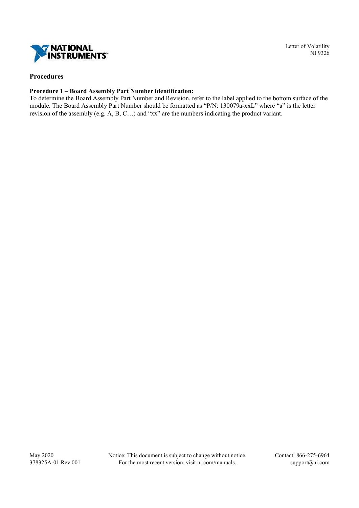

## Procedures

### Procedure 1 – Board Assembly Part Number identification:

To determine the Board Assembly Part Number and Revision, refer to the label applied to the bottom surface of the module. The Board Assembly Part Number should be formatted as "P/N: 130079a-xxL" where "a" is the letter revision of the assembly (e.g. A, B, C…) and "xx" are the numbers indicating the product variant.